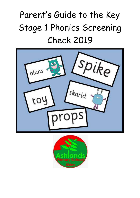## Parent's Guide to the Key Stage 1 Phonics Screening Check 2019



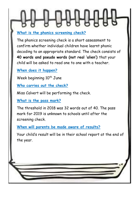#### **What is the phonics screening check?**

The phonics screening check is a short assessment to confirm whether individual children have learnt phonic decoding to an appropriate standard. The check consists of **40 words and pseudo words (not real 'alien')** that your child will be asked to read one to one with a teacher.

**When does it happen?**

Week beginning 10<sup>th</sup> June

**Who carries out the check?**

Miss Calvert will be performing the check.

**What is the pass mark?**

The threshold in 2018 was 32 words out of 40. The pass mark for 2019 is unknown to schools until after the screening check.

**When will parents be made aware of results?**

Your child's result will be in their school report at the end of the year.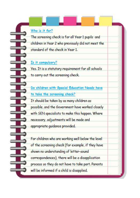#### Who is it for?

The screening check is for all Year 1 pupils and children in Year 2 who previously did not meet the standard of the check in Year 1.

#### Is it compulsory?

Yes. It is a statutory requirement for all schools to carry out the screening check.

Do children with Special Education Needs have to take the screening check? It should be taken by as many children as

possible, and the Government have worked closely with SEN specialists to make this happen. Where necessary, adjustments will be made and appropriate guidance provided.

For children who are working well below the level of the screening check (for example, if they have shown no understanding of letter-sound correspondences), there will be a disapplication process so they do not have to take part. Parents will be informed if a child is disapplied.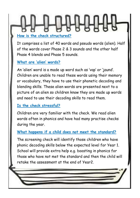# **How is the check structured?**

It comprises a list of 40 words and pseudo words (alien). Half of the words cover Phase 2 & 3 sounds and the other half Phase 4 blends and Phase 5 sounds.

#### **What are 'alien' words?**

An 'alien' word is a made up word such as 'vap' or 'jaund'. Children are unable to read these words using their memory or vocabulary, they have to use their phonetic decoding and blending skills. These alien words are presented next to a picture of an alien so children know they are made up words and need to use their decoding skills to read them.

#### **Is the check stressful?**

Children are very familiar with the check. We read alien words often in phonics and have had many practise checks during the year.

#### **What happens if a child does not meet the standard?**

The screening check will identify those children who have phonic decoding skills below the expected level for Year 1. School will provide extra help e.g. boosting in phonics for those who have not met the standard and then the child will retake the assessment at the end of Year2.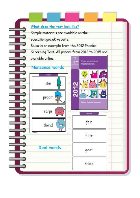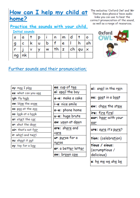#### How can I help my child at home?

The websites 'Oxford Owl' and 'Mr Thorne does phonics' have audio links you can use to hear the correct pronunciation of the sound, as well as a range of resources.

## Oxford Вb

#### Practice the sounds with your child.

**Initial sounds** 

| S              | α  |   | Þ |   | n  | m | d |       | ο  |
|----------------|----|---|---|---|----|---|---|-------|----|
|                | с  | k | u | b |    | е |   | h     | sh |
| r              | ν  | v |   | W | th | z |   | ch qu | ×  |
| n <sub>g</sub> | nk |   |   |   |    |   |   |       |    |

#### Further sounds and their pronunciation;

| ay: m <u>ay</u> I pl <u>ay</u>     |
|------------------------------------|
| ee: what can you see               |
| igh: fly h <u>igh</u>              |
| ow: blow the snow                  |
| oo: p <u>oo</u> at the z <u>oo</u> |
| oo: look at a book                 |
| ar: start the car                  |
| or: shut the door                  |
| air: that's not fair               |
| ir: whirl and twirl                |
| ou: shout it out                   |
| oy: toy for a boy                  |
|                                    |

| ea: cup of tea      |
|---------------------|
| oi: spoil the boy   |
| a-e: make a cake    |
| i-e: nice smile     |
| o-e: phone home     |
| u-e: huge brute     |
| aw: yawn at dawn    |
| are: share and      |
| care                |
| ur: purse for a     |
| nurse               |
| er: a better letter |
| ow: brown cow       |
|                     |

| ai: snail in the rain                       |
|---------------------------------------------|
| <b>oa</b> : <u>goa</u> t in a b <u>oa</u> t |
| ew: chew the stew                           |
| ire: fire fire!                             |
| ear: hear with your                         |
| ear                                         |
| ure: sure it's pure?                        |
| tion: (celebration)                         |
| tious / cious:                              |
| (scrumptious /                              |
| delicious)                                  |
| e: he me we she be                          |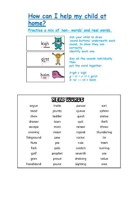#### How can I help my child at home?

Practice a mix of 'non- words' and real words.



Ask your child to draw 'sound buttons' underneath each sound, to show they can correctly identify each one.

Say all the sounds individually then put the word together.

 $k$ -igh = kigh  $g - ir - s - t =$  girst  $b - ai$  --- $m =$  baim

|            | REAL WORDS |          |            |
|------------|------------|----------|------------|
| argue      | invite     | pursue   | sort       |
| bead       | jaunty     | queue    | sphinx     |
| chew       | ladder     | quiet    | statue     |
| drawer.    | lawn       | quit     | theft      |
| escape     | main       | renew    | threw      |
| evening    | moan       | repeat   | thundering |
| fairground | pew        | rocker.  | tie        |
| flute      | pie        | rule     | trash      |
| fork       | pole       | scratch  | turning    |
| golf       | prophet    | seventh  | use        |
| gran       | proud      | shelving | volue      |
| handstand  | prune      | sighting | woe        |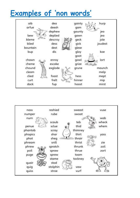### Examples of 'non words'

| aib      | dea     | gainty | hurp    |
|----------|---------|--------|---------|
| arfue    | deesh   | gam    |         |
|          | dephew  | gaunty | jea     |
| bew      | deplied | gawn   | jea     |
| bleme    | descroy | geck   | jole    |
| blied    | dess    | gick   | joudest |
| bountain | dest    | glese  |         |
| bup      | dis     | gloy   | koe     |
|          |         | goot   |         |
| chawn    | enroy   | gowl   | lort    |
| cheme    | escake  | grize  |         |
| chound   | exglode | grune  | maunch  |
| cleam    |         |        | melp    |
| clied    | foast   | hess   | mept    |
| curt     | frelt   | hinner | mip     |
| dack     | fup     | hoost  | mirst   |